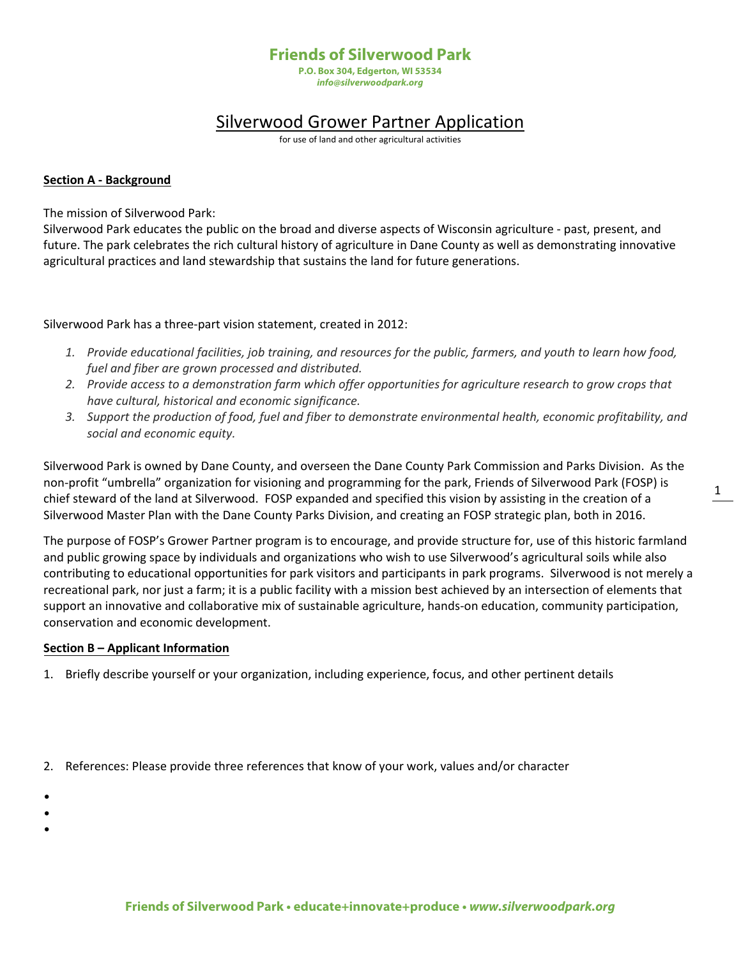## **Friends of Silverwood Park**

**P.O. Box 304, Edgerton, WI 53534** *info@silverwoodpark.org*

# Silverwood Grower Partner Application

for use of land and other agricultural activities

#### **Section A - Background**

The mission of Silverwood Park:

Silverwood Park educates the public on the broad and diverse aspects of Wisconsin agriculture - past, present, and future. The park celebrates the rich cultural history of agriculture in Dane County as well as demonstrating innovative agricultural practices and land stewardship that sustains the land for future generations.

Silverwood Park has a three-part vision statement, created in 2012:

- *1. Provide educational facilities, job training, and resources for the public, farmers, and youth to learn how food, fuel and fiber are grown processed and distributed.*
- *2. Provide access to a demonstration farm which offer opportunities for agriculture research to grow crops that have cultural, historical and economic significance.*
- *3. Support the production of food, fuel and fiber to demonstrate environmental health, economic profitability, and social and economic equity.*

Silverwood Park is owned by Dane County, and overseen the Dane County Park Commission and Parks Division. As the non-profit "umbrella" organization for visioning and programming for the park, Friends of Silverwood Park (FOSP) is chief steward of the land at Silverwood. FOSP expanded and specified this vision by assisting in the creation of a Silverwood Master Plan with the Dane County Parks Division, and creating an FOSP strategic plan, both in 2016.

The purpose of FOSP's Grower Partner program is to encourage, and provide structure for, use of this historic farmland and public growing space by individuals and organizations who wish to use Silverwood's agricultural soils while also contributing to educational opportunities for park visitors and participants in park programs. Silverwood is not merely a recreational park, nor just a farm; it is a public facility with a mission best achieved by an intersection of elements that support an innovative and collaborative mix of sustainable agriculture, hands-on education, community participation, conservation and economic development.

#### **Section B – Applicant Information**

- 1. Briefly describe yourself or your organization, including experience, focus, and other pertinent details
- 2. References: Please provide three references that know of your work, values and/or character
- •
- •
- •